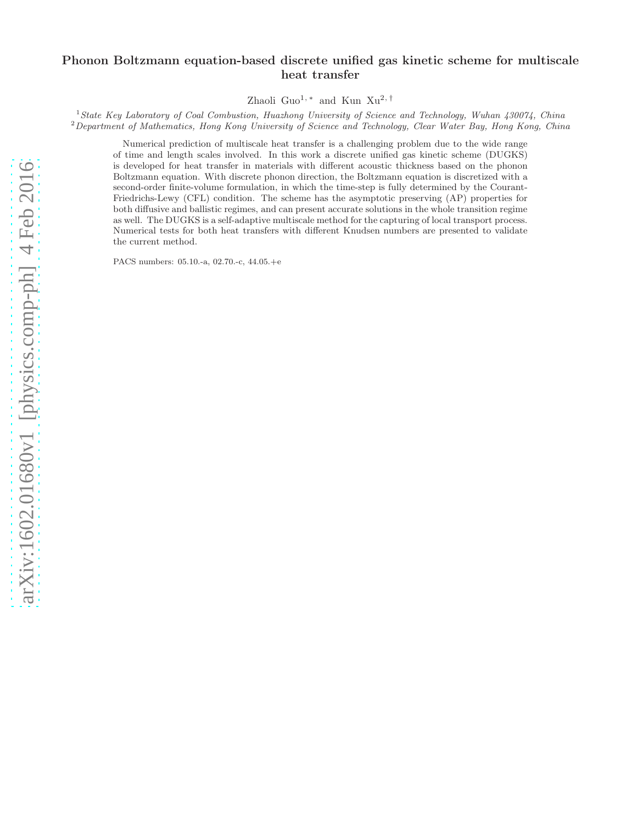# Phonon Boltzmann equation-based discrete unified gas kinetic scheme for multiscale heat transfer

Zhaoli Guo<sup>1,\*</sup> and Kun Xu<sup>2,†</sup>

<sup>1</sup>*State Key Laboratory of Coal Combustion, Huazhong University of Science and Technology, Wuhan 430074, China* <sup>2</sup>*Department of Mathematics, Hong Kong University of Science and Technology, Clear Water Bay, Hong Kong, China*

Numerical prediction of multiscale heat transfer is a challenging problem due to the wide range of time and length scales involved. In this work a discrete unified gas kinetic scheme (DUGKS) is developed for heat transfer in materials with different acoustic thickness based on the phonon Boltzmann equation. With discrete phonon direction, the Boltzmann equation is discretized with a second-order finite-volume formulation, in which the time-step is fully determined by the Courant-Friedrichs-Lewy (CFL) condition. The scheme has the asymptotic preserving (AP) properties for both diffusive and ballistic regimes, and can present accurate solutions in the whole transition regime as well. The DUGKS is a self-adaptive multiscale method for the capturing of local transport process. Numerical tests for both heat transfers with different Knudsen numbers are presented to validate the current method.

PACS numbers: 05.10.-a, 02.70.-c, 44.05.+e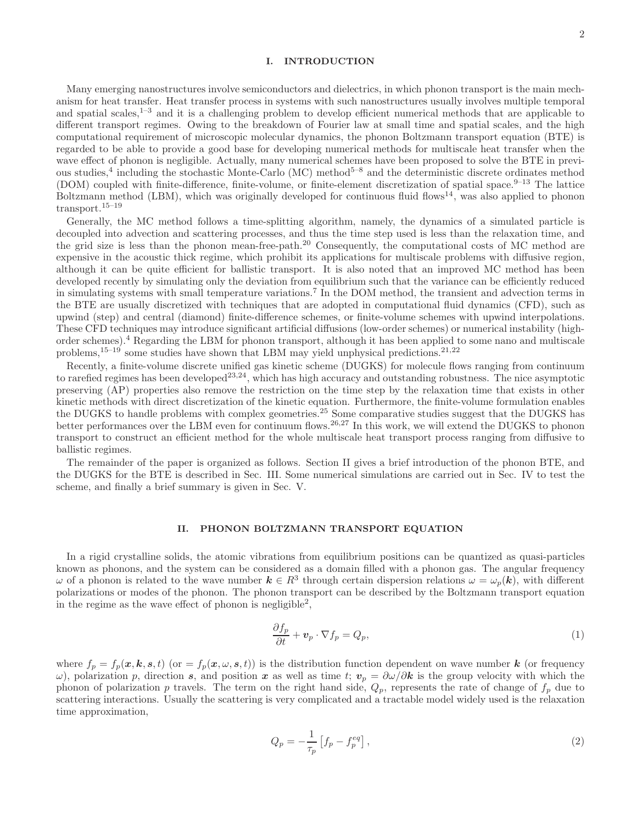# I. INTRODUCTION

Many emerging nanostructures involve semiconductors and dielectrics, in which phonon transport is the main mechanism for heat transfer. Heat transfer process in systems with such nanostructures usually involves multiple temporal and spatial scales, $1-3$  and it is a challenging problem to develop efficient numerical methods that are applicable to different transport regimes. Owing to the breakdown of Fourier law at small time and spatial scales, and the high computational requirement of microscopic molecular dynamics, the phonon Boltzmann transport equation (BTE) is regarded to be able to provide a good base for developing numerical methods for multiscale heat transfer when the wave effect of phonon is negligible. Actually, many numerical schemes have been proposed to solve the BTE in previous studies,<sup>4</sup> including the stochastic Monte-Carlo (MC) method<sup>5–8</sup> and the deterministic discrete ordinates method (DOM) coupled with finite-difference, finite-volume, or finite-element discretization of spatial space. $9-13$  The lattice Boltzmann method (LBM), which was originally developed for continuous fluid flows<sup>14</sup>, was also applied to phonon transport.15–19

Generally, the MC method follows a time-splitting algorithm, namely, the dynamics of a simulated particle is decoupled into advection and scattering processes, and thus the time step used is less than the relaxation time, and the grid size is less than the phonon mean-free-path.<sup>20</sup> Consequently, the computational costs of MC method are expensive in the acoustic thick regime, which prohibit its applications for multiscale problems with diffusive region, although it can be quite efficient for ballistic transport. It is also noted that an improved MC method has been developed recently by simulating only the deviation from equilibrium such that the variance can be efficiently reduced in simulating systems with small temperature variations.<sup>7</sup> In the DOM method, the transient and advection terms in the BTE are usually discretized with techniques that are adopted in computational fluid dynamics (CFD), such as upwind (step) and central (diamond) finite-difference schemes, or finite-volume schemes with upwind interpolations. These CFD techniques may introduce significant artificial diffusions (low-order schemes) or numerical instability (highorder schemes).<sup>4</sup> Regarding the LBM for phonon transport, although it has been applied to some nano and multiscale problems,<sup>15–19</sup> some studies have shown that LBM may yield unphysical predictions.<sup>21,22</sup>

Recently, a finite-volume discrete unified gas kinetic scheme (DUGKS) for molecule flows ranging from continuum to rarefied regimes has been developed<sup>23,24</sup>, which has high accuracy and outstanding robustness. The nice asymptotic preserving (AP) properties also remove the restriction on the time step by the relaxation time that exists in other kinetic methods with direct discretization of the kinetic equation. Furthermore, the finite-volume formulation enables the DUGKS to handle problems with complex geometries.<sup>25</sup> Some comparative studies suggest that the DUGKS has better performances over the LBM even for continuum flows.<sup>26,27</sup> In this work, we will extend the DUGKS to phonon transport to construct an efficient method for the whole multiscale heat transport process ranging from diffusive to ballistic regimes.

The remainder of the paper is organized as follows. Section II gives a brief introduction of the phonon BTE, and the DUGKS for the BTE is described in Sec. III. Some numerical simulations are carried out in Sec. IV to test the scheme, and finally a brief summary is given in Sec. V.

# II. PHONON BOLTZMANN TRANSPORT EQUATION

In a rigid crystalline solids, the atomic vibrations from equilibrium positions can be quantized as quasi-particles known as phonons, and the system can be considered as a domain filled with a phonon gas. The angular frequency  $\omega$  of a phonon is related to the wave number  $k \in R^3$  through certain dispersion relations  $\omega = \omega_p(k)$ , with different polarizations or modes of the phonon. The phonon transport can be described by the Boltzmann transport equation in the regime as the wave effect of phonon is negligible<sup>2</sup>,

$$
\frac{\partial f_p}{\partial t} + \mathbf{v}_p \cdot \nabla f_p = Q_p,\tag{1}
$$

where  $f_p = f_p(\mathbf{x}, \mathbf{k}, \mathbf{s}, t)$  (or  $= f_p(\mathbf{x}, \omega, \mathbf{s}, t)$ ) is the distribution function dependent on wave number k (or frequency ω), polarization p, direction s, and position x as well as time t;  $v_p = \frac{\partial \omega}{\partial k}$  is the group velocity with which the phonon of polarization p travels. The term on the right hand side,  $Q_p$ , represents the rate of change of  $f_p$  due to scattering interactions. Usually the scattering is very complicated and a tractable model widely used is the relaxation time approximation,

$$
Q_p = -\frac{1}{\tau_p} \left[ f_p - f_p^{eq} \right],\tag{2}
$$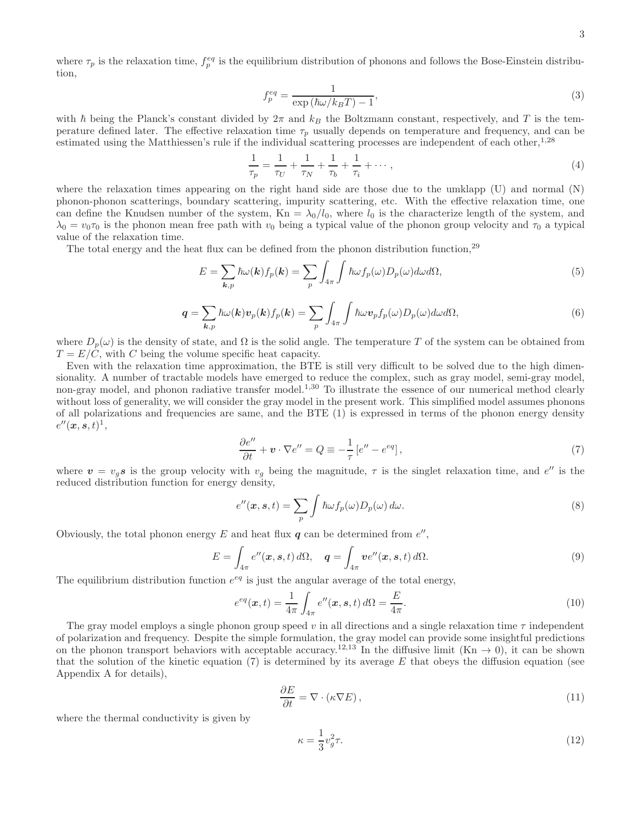where  $\tau_p$  is the relaxation time,  $f_p^{eq}$  is the equilibrium distribution of phonons and follows the Bose-Einstein distribution,

$$
f_p^{eq} = \frac{1}{\exp\left(\hbar\omega/k_BT\right) - 1},\tag{3}
$$

with  $\hbar$  being the Planck's constant divided by  $2\pi$  and  $k_B$  the Boltzmann constant, respectively, and T is the temperature defined later. The effective relaxation time  $\tau_p$  usually depends on temperature and frequency, and can be estimated using the Matthiessen's rule if the individual scattering processes are independent of each other,<sup>1,28</sup>

$$
\frac{1}{\tau_p} = \frac{1}{\tau_U} + \frac{1}{\tau_N} + \frac{1}{\tau_b} + \frac{1}{\tau_i} + \cdots,
$$
\n(4)

where the relaxation times appearing on the right hand side are those due to the umklapp (U) and normal (N) phonon-phonon scatterings, boundary scattering, impurity scattering, etc. With the effective relaxation time, one can define the Knudsen number of the system,  $Kn = \lambda_0/l_0$ , where  $l_0$  is the characterize length of the system, and  $\lambda_0 = v_0 \tau_0$  is the phonon mean free path with  $v_0$  being a typical value of the phonon group velocity and  $\tau_0$  a typical value of the relaxation time.

The total energy and the heat flux can be defined from the phonon distribution function.<sup>29</sup>

$$
E = \sum_{\mathbf{k},p} \hbar \omega(\mathbf{k}) f_p(\mathbf{k}) = \sum_p \int_{4\pi} \int \hbar \omega f_p(\omega) D_p(\omega) d\omega d\Omega,
$$
\n(5)

$$
\mathbf{q} = \sum_{\mathbf{k},p} \hbar \omega(\mathbf{k}) \mathbf{v}_p(\mathbf{k}) f_p(\mathbf{k}) = \sum_p \int_{4\pi} \int \hbar \omega \mathbf{v}_p f_p(\omega) D_p(\omega) d\omega d\Omega,\tag{6}
$$

where  $D_p(\omega)$  is the density of state, and  $\Omega$  is the solid angle. The temperature T of the system can be obtained from  $T = E/C$ , with C being the volume specific heat capacity.

Even with the relaxation time approximation, the BTE is still very difficult to be solved due to the high dimensionality. A number of tractable models have emerged to reduce the complex, such as gray model, semi-gray model, non-gray model, and phonon radiative transfer model.<sup>1,30</sup> To illustrate the essence of our numerical method clearly without loss of generality, we will consider the gray model in the present work. This simplified model assumes phonons of all polarizations and frequencies are same, and the BTE (1) is expressed in terms of the phonon energy density  $e''(\boldsymbol{x},\boldsymbol{s},t)^1,$ 

$$
\frac{\partial e''}{\partial t} + \mathbf{v} \cdot \nabla e'' = Q \equiv -\frac{1}{\tau} \left[ e'' - e^{eq} \right],\tag{7}
$$

where  $v = v_g s$  is the group velocity with  $v_g$  being the magnitude,  $\tau$  is the singlet relaxation time, and  $e''$  is the reduced distribution function for energy density,

$$
e''(x, s, t) = \sum_{p} \int \hbar \omega f_p(\omega) D_p(\omega) d\omega.
$$
\n(8)

Obviously, the total phonon energy  $E$  and heat flux  $q$  can be determined from  $e''$ ,

$$
E = \int_{4\pi} e''(\mathbf{x}, \mathbf{s}, t) d\Omega, \quad \mathbf{q} = \int_{4\pi} v e''(\mathbf{x}, \mathbf{s}, t) d\Omega.
$$
 (9)

The equilibrium distribution function  $e^{eq}$  is just the angular average of the total energy,

$$
e^{eq}(\boldsymbol{x},t) = \frac{1}{4\pi} \int_{4\pi} e''(\boldsymbol{x},\boldsymbol{s},t) d\Omega = \frac{E}{4\pi}.
$$
\n(10)

The gray model employs a single phonon group speed v in all directions and a single relaxation time  $\tau$  independent of polarization and frequency. Despite the simple formulation, the gray model can provide some insightful predictions on the phonon transport behaviors with acceptable accuracy.<sup>12,13</sup> In the diffusive limit (Kn  $\rightarrow$  0), it can be shown that the solution of the kinetic equation (7) is determined by its average  $E$  that obeys the diffusion equation (see Appendix A for details),

$$
\frac{\partial E}{\partial t} = \nabla \cdot (\kappa \nabla E),\tag{11}
$$

where the thermal conductivity is given by

$$
\kappa = \frac{1}{3}v_g^2 \tau. \tag{12}
$$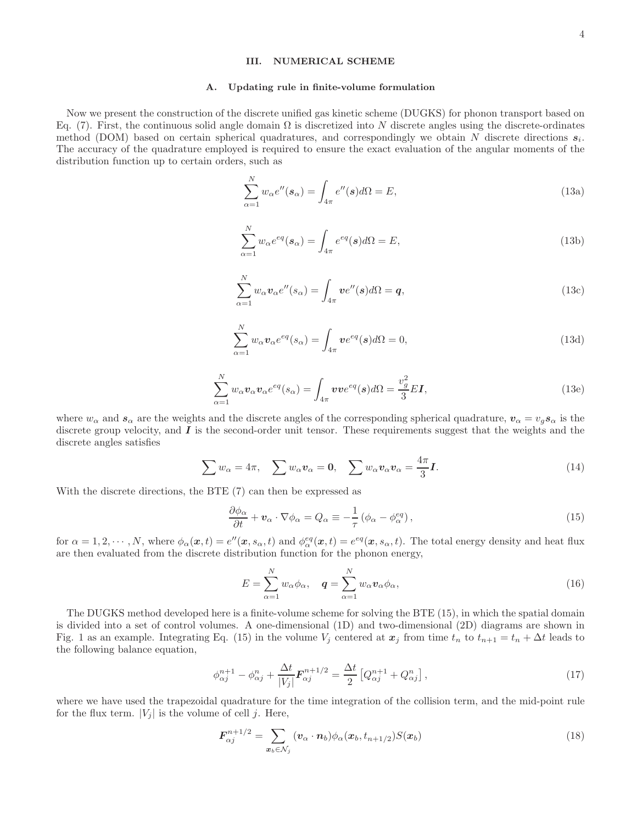# III. NUMERICAL SCHEME

#### A. Updating rule in finite-volume formulation

Now we present the construction of the discrete unified gas kinetic scheme (DUGKS) for phonon transport based on Eq. (7). First, the continuous solid angle domain  $\Omega$  is discretized into N discrete angles using the discrete-ordinates method (DOM) based on certain spherical quadratures, and correspondingly we obtain N discrete directions  $s_i$ . The accuracy of the quadrature employed is required to ensure the exact evaluation of the angular moments of the distribution function up to certain orders, such as

$$
\sum_{\alpha=1}^{N} w_{\alpha} e''(\mathbf{s}_{\alpha}) = \int_{4\pi} e''(\mathbf{s}) d\Omega = E,
$$
\n(13a)

$$
\sum_{\alpha=1}^{N} w_{\alpha} e^{eq}(\mathbf{s}_{\alpha}) = \int_{4\pi} e^{eq}(\mathbf{s}) d\Omega = E,
$$
\n(13b)

$$
\sum_{\alpha=1}^{N} w_{\alpha} \mathbf{v}_{\alpha} e''(s_{\alpha}) = \int_{4\pi} \mathbf{v} e''(s) d\Omega = \mathbf{q},\tag{13c}
$$

$$
\sum_{\alpha=1}^{N} w_{\alpha} \mathbf{v}_{\alpha} e^{eq}(s_{\alpha}) = \int_{4\pi} \mathbf{v} e^{eq}(s) d\Omega = 0,
$$
\n(13d)

$$
\sum_{\alpha=1}^{N} w_{\alpha} \mathbf{v}_{\alpha} \mathbf{v}_{\alpha} e^{eq}(s_{\alpha}) = \int_{4\pi} \mathbf{v} \mathbf{v} e^{eq}(\mathbf{s}) d\Omega = \frac{v_g^2}{3} E \mathbf{I},\tag{13e}
$$

where  $w_{\alpha}$  and  $s_{\alpha}$  are the weights and the discrete angles of the corresponding spherical quadrature,  $v_{\alpha} = v_{g} s_{\alpha}$  is the discrete group velocity, and  $\bm{I}$  is the second-order unit tensor. These requirements suggest that the weights and the discrete angles satisfies

$$
\sum w_{\alpha} = 4\pi, \quad \sum w_{\alpha} v_{\alpha} = 0, \quad \sum w_{\alpha} v_{\alpha} v_{\alpha} = \frac{4\pi}{3} I. \tag{14}
$$

With the discrete directions, the BTE (7) can then be expressed as

$$
\frac{\partial \phi_{\alpha}}{\partial t} + \mathbf{v}_{\alpha} \cdot \nabla \phi_{\alpha} = Q_{\alpha} \equiv -\frac{1}{\tau} \left( \phi_{\alpha} - \phi_{\alpha}^{eq} \right),\tag{15}
$$

for  $\alpha = 1, 2, \dots, N$ , where  $\phi_{\alpha}(\mathbf{x}, t) = e^{\prime\prime}(\mathbf{x}, s_{\alpha}, t)$  and  $\phi_{\alpha}^{eq}(\mathbf{x}, t) = e^{eq}(\mathbf{x}, s_{\alpha}, t)$ . The total energy density and heat flux are then evaluated from the discrete distribution function for the phonon energy,

$$
E = \sum_{\alpha=1}^{N} w_{\alpha} \phi_{\alpha}, \quad \mathbf{q} = \sum_{\alpha=1}^{N} w_{\alpha} \mathbf{v}_{\alpha} \phi_{\alpha}, \tag{16}
$$

The DUGKS method developed here is a finite-volume scheme for solving the BTE (15), in which the spatial domain is divided into a set of control volumes. A one-dimensional (1D) and two-dimensional (2D) diagrams are shown in Fig. 1 as an example. Integrating Eq. (15) in the volume  $V_j$  centered at  $x_j$  from time  $t_n$  to  $t_{n+1} = t_n + \Delta t$  leads to the following balance equation,

$$
\phi_{\alpha j}^{n+1} - \phi_{\alpha j}^{n} + \frac{\Delta t}{|V_j|} \mathbf{F}_{\alpha j}^{n+1/2} = \frac{\Delta t}{2} \left[ Q_{\alpha j}^{n+1} + Q_{\alpha j}^{n} \right],\tag{17}
$$

where we have used the trapezoidal quadrature for the time integration of the collision term, and the mid-point rule for the flux term.  $|V_j|$  is the volume of cell j. Here,

$$
F_{\alpha j}^{n+1/2} = \sum_{\boldsymbol{x}_b \in \mathcal{N}_j} (\boldsymbol{v}_\alpha \cdot \boldsymbol{n}_b) \phi_\alpha(\boldsymbol{x}_b, t_{n+1/2}) S(\boldsymbol{x}_b)
$$
(18)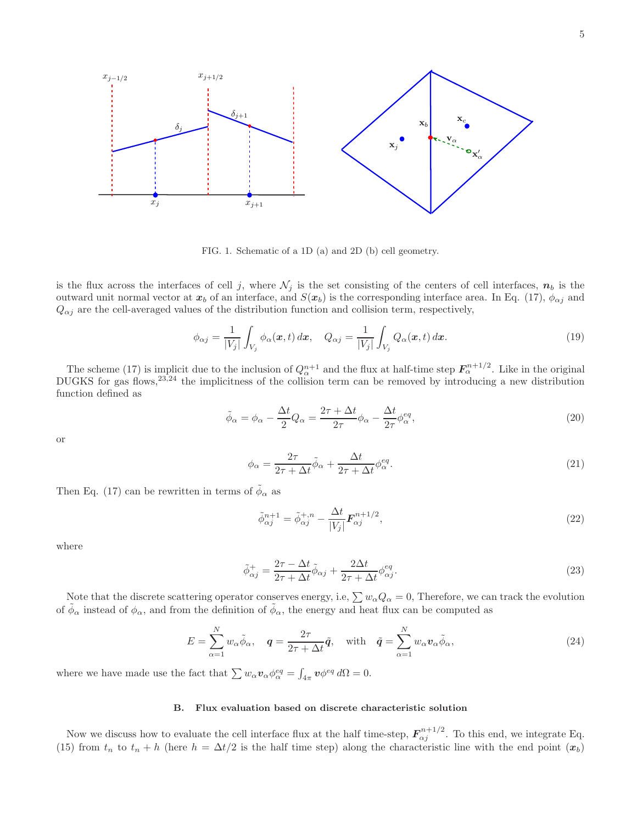5



FIG. 1. Schematic of a 1D (a) and 2D (b) cell geometry.

is the flux across the interfaces of cell j, where  $\mathcal{N}_j$  is the set consisting of the centers of cell interfaces,  $n_b$  is the outward unit normal vector at  $x_b$  of an interface, and  $S(x_b)$  is the corresponding interface area. In Eq. (17),  $\phi_{\alpha j}$  and  $Q_{\alpha j}$  are the cell-averaged values of the distribution function and collision term, respectively,

$$
\phi_{\alpha j} = \frac{1}{|V_j|} \int_{V_j} \phi_{\alpha}(\boldsymbol{x}, t) d\boldsymbol{x}, \quad Q_{\alpha j} = \frac{1}{|V_j|} \int_{V_j} Q_{\alpha}(\boldsymbol{x}, t) d\boldsymbol{x}.
$$
\n(19)

The scheme (17) is implicit due to the inclusion of  $Q_{\alpha}^{n+1}$  and the flux at half-time step  $\mathbf{F}_{\alpha}^{n+1/2}$ . Like in the original DUGKS for gas flows,<sup>23,24</sup> the implicitness of the collision term can be removed by introducing a new distribution function defined as

$$
\tilde{\phi}_{\alpha} = \phi_{\alpha} - \frac{\Delta t}{2} Q_{\alpha} = \frac{2\tau + \Delta t}{2\tau} \phi_{\alpha} - \frac{\Delta t}{2\tau} \phi_{\alpha}^{eq},\tag{20}
$$

or

$$
\phi_{\alpha} = \frac{2\tau}{2\tau + \Delta t} \tilde{\phi}_{\alpha} + \frac{\Delta t}{2\tau + \Delta t} \phi_{\alpha}^{eq}.
$$
\n(21)

Then Eq. (17) can be rewritten in terms of  $\tilde{\phi}_{\alpha}$  as

$$
\tilde{\phi}_{\alpha j}^{n+1} = \tilde{\phi}_{\alpha j}^{+,n} - \frac{\Delta t}{|V_j|} \mathbf{F}_{\alpha j}^{n+1/2},\tag{22}
$$

where

$$
\tilde{\phi}_{\alpha j}^{+} = \frac{2\tau - \Delta t}{2\tau + \Delta t} \tilde{\phi}_{\alpha j} + \frac{2\Delta t}{2\tau + \Delta t} \phi_{\alpha j}^{eq}.
$$
\n(23)

Note that the discrete scattering operator conserves energy, i.e,  $\sum w_{\alpha}Q_{\alpha} = 0$ , Therefore, we can track the evolution of  $\tilde{\phi}_\alpha$  instead of  $\phi_\alpha$ , and from the definition of  $\tilde{\phi}_\alpha$ , the energy and heat flux can be computed as

$$
E = \sum_{\alpha=1}^{N} w_{\alpha} \tilde{\phi}_{\alpha}, \quad \mathbf{q} = \frac{2\tau}{2\tau + \Delta t} \tilde{\mathbf{q}}, \quad \text{with} \quad \tilde{\mathbf{q}} = \sum_{\alpha=1}^{N} w_{\alpha} \mathbf{v}_{\alpha} \tilde{\phi}_{\alpha}, \tag{24}
$$

where we have made use the fact that  $\sum w_{\alpha} \mathbf{v}_{\alpha} \phi_{\alpha}^{eq} = \int_{4\pi} \mathbf{v} \phi^{eq} d\Omega = 0.$ 

# B. Flux evaluation based on discrete characteristic solution

Now we discuss how to evaluate the cell interface flux at the half time-step,  $F_{\alpha j}^{n+1/2}$ . To this end, we integrate Eq. (15) from  $t_n$  to  $t_n + h$  (here  $h = \Delta t/2$  is the half time step) along the characteristic line with the end point  $(x_b)$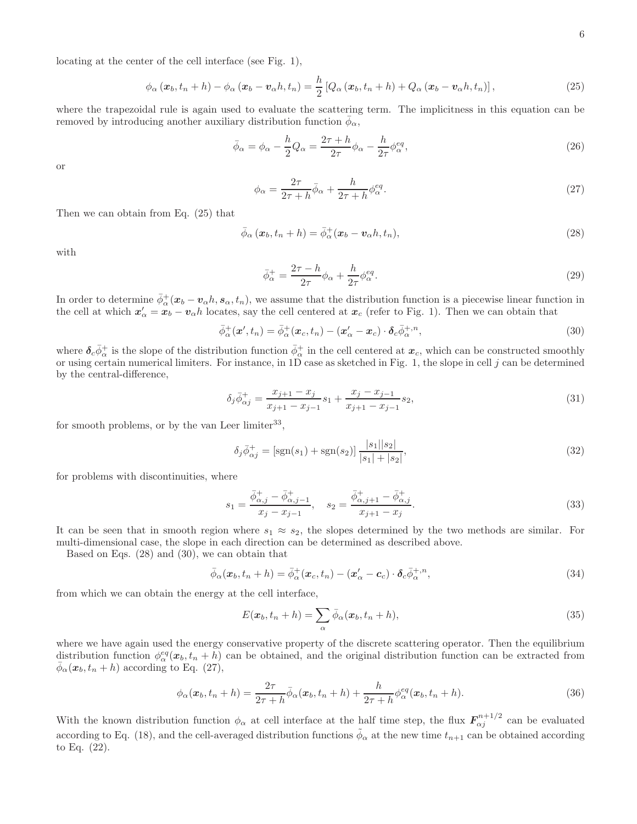locating at the center of the cell interface (see Fig. 1),

$$
\phi_{\alpha}\left(\boldsymbol{x}_{b},t_{n}+h\right)-\phi_{\alpha}\left(\boldsymbol{x}_{b}-\boldsymbol{v}_{\alpha}h,t_{n}\right)=\frac{h}{2}\left[Q_{\alpha}\left(\boldsymbol{x}_{b},t_{n}+h\right)+Q_{\alpha}\left(\boldsymbol{x}_{b}-\boldsymbol{v}_{\alpha}h,t_{n}\right)\right],\tag{25}
$$

where the trapezoidal rule is again used to evaluate the scattering term. The implicitness in this equation can be removed by introducing another auxiliary distribution function  $\bar{\phi}_{\alpha}$ ,

$$
\bar{\phi}_{\alpha} = \phi_{\alpha} - \frac{h}{2}Q_{\alpha} = \frac{2\tau + h}{2\tau}\phi_{\alpha} - \frac{h}{2\tau}\phi_{\alpha}^{eq},\tag{26}
$$

or

$$
\phi_{\alpha} = \frac{2\tau}{2\tau + h} \bar{\phi}_{\alpha} + \frac{h}{2\tau + h} \phi_{\alpha}^{eq}.
$$
\n(27)

Then we can obtain from Eq. (25) that

$$
\bar{\phi}_{\alpha}\left(\boldsymbol{x}_{b}, t_{n} + h\right) = \bar{\phi}_{\alpha}^{+}(\boldsymbol{x}_{b} - \boldsymbol{v}_{\alpha} h, t_{n}),\tag{28}
$$

with

$$
\bar{\phi}_{\alpha}^{+} = \frac{2\tau - h}{2\tau} \phi_{\alpha} + \frac{h}{2\tau} \phi_{\alpha}^{eq}.
$$
\n(29)

In order to determine  $\bar{\phi}^+_{\alpha}(\bm{x}_b-\bm{v}_{\alpha}h,\bm{s}_{\alpha},t_n)$ , we assume that the distribution function is a piecewise linear function in the cell at which  $x'_\alpha = x_b - v_\alpha h$  locates, say the cell centered at  $x_c$  (refer to Fig. 1). Then we can obtain that

$$
\bar{\phi}_{\alpha}^{+}(\boldsymbol{x}',t_{n}) = \bar{\phi}_{\alpha}^{+}(\boldsymbol{x}_{c},t_{n}) - (\boldsymbol{x}_{\alpha}' - \boldsymbol{x}_{c}) \cdot \boldsymbol{\delta}_{c} \bar{\phi}_{\alpha}^{+,\,n},\tag{30}
$$

where  $\delta_c \bar{\phi}^+_{\alpha}$  is the slope of the distribution function  $\bar{\phi}^+_{\alpha}$  in the cell centered at  $x_c$ , which can be constructed smoothly or using certain numerical limiters. For instance, in 1D case as sketched in Fig. 1, the slope in cell j can be determined by the central-difference,

$$
\delta_j \bar{\phi}_{\alpha j}^+ = \frac{x_{j+1} - x_j}{x_{j+1} - x_{j-1}} s_1 + \frac{x_j - x_{j-1}}{x_{j+1} - x_{j-1}} s_2,\tag{31}
$$

for smooth problems, or by the van Leer limiter<sup>33</sup>,

$$
\delta_j \bar{\phi}_{\alpha j}^+ = \left[ sgn(s_1) + sgn(s_2) \right] \frac{|s_1||s_2|}{|s_1| + |s_2|},\tag{32}
$$

for problems with discontinuities, where

$$
s_1 = \frac{\bar{\phi}_{\alpha,j}^+ - \bar{\phi}_{\alpha,j-1}^+}{x_j - x_{j-1}}, \quad s_2 = \frac{\bar{\phi}_{\alpha,j+1}^+ - \bar{\phi}_{\alpha,j}^+}{x_{j+1} - x_j}.
$$
\n
$$
(33)
$$

It can be seen that in smooth region where  $s_1 \approx s_2$ , the slopes determined by the two methods are similar. For multi-dimensional case, the slope in each direction can be determined as described above.

Based on Eqs. (28) and (30), we can obtain that

$$
\bar{\phi}_{\alpha}(\boldsymbol{x}_b, t_n + h) = \bar{\phi}_{\alpha}^+(\boldsymbol{x}_c, t_n) - (\boldsymbol{x}_{\alpha}' - \boldsymbol{c}_c) \cdot \boldsymbol{\delta}_c \bar{\phi}_{\alpha}^{+,n},
$$
\n(34)

from which we can obtain the energy at the cell interface,

$$
E(\boldsymbol{x}_b, t_n + h) = \sum_{\alpha} \bar{\phi}_{\alpha}(\boldsymbol{x}_b, t_n + h), \qquad (35)
$$

where we have again used the energy conservative property of the discrete scattering operator. Then the equilibrium distribution function  $\phi_\alpha^{eq}(x_b, t_n + h)$  can be obtained, and the original distribution function can be extracted from  $\bar{\phi}_{\alpha}(\boldsymbol{x}_b, t_n + h)$  according to Eq. (27),

$$
\phi_{\alpha}(\boldsymbol{x}_b, t_n + h) = \frac{2\tau}{2\tau + h} \bar{\phi}_{\alpha}(\boldsymbol{x}_b, t_n + h) + \frac{h}{2\tau + h} \phi_{\alpha}^{eq}(\boldsymbol{x}_b, t_n + h).
$$
\n(36)

With the known distribution function  $\phi_{\alpha}$  at cell interface at the half time step, the flux  $F_{\alpha j}^{n+1/2}$  can be evaluated according to Eq. (18), and the cell-averaged distribution functions  $\tilde{\phi}_{\alpha}$  at the new time  $t_{n+1}$  can be obtained according to Eq. (22).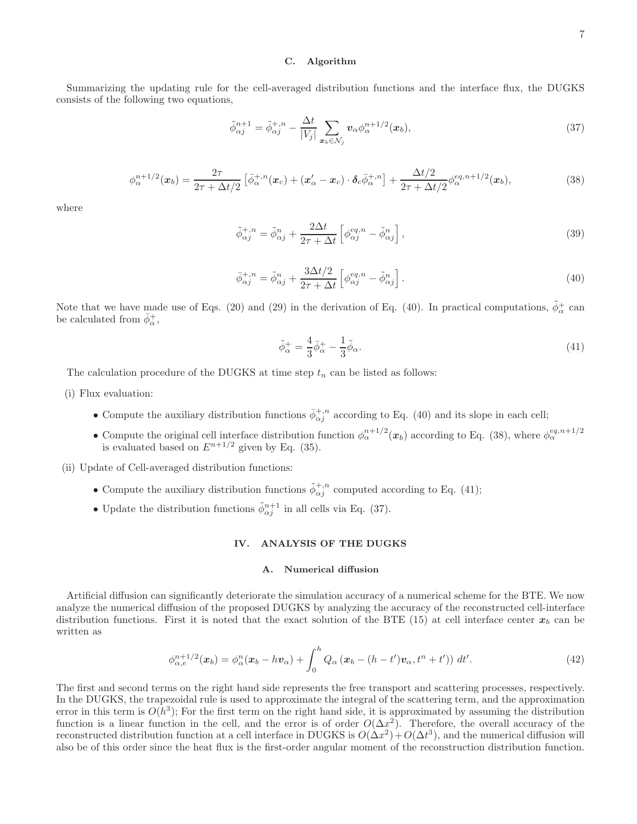# C. Algorithm

Summarizing the updating rule for the cell-averaged distribution functions and the interface flux, the DUGKS consists of the following two equations,

$$
\tilde{\phi}_{\alpha j}^{n+1} = \tilde{\phi}_{\alpha j}^{+,n} - \frac{\Delta t}{|V_j|} \sum_{\mathbf{x}_b \in \mathcal{N}_j} \mathbf{v}_\alpha \phi_\alpha^{n+1/2}(\mathbf{x}_b),\tag{37}
$$

$$
\phi_{\alpha}^{n+1/2}(\boldsymbol{x}_b) = \frac{2\tau}{2\tau + \Delta t/2} \left[ \bar{\phi}_{\alpha}^{+,n}(\boldsymbol{x}_c) + (\boldsymbol{x}_{\alpha}^{\prime} - \boldsymbol{x}_c) \cdot \boldsymbol{\delta}_c \bar{\phi}_{\alpha}^{+,n} \right] + \frac{\Delta t/2}{2\tau + \Delta t/2} \phi_{\alpha}^{eq, n+1/2}(\boldsymbol{x}_b),\tag{38}
$$

where

$$
\tilde{\phi}_{\alpha j}^{+,n} = \tilde{\phi}_{\alpha j}^{n} + \frac{2\Delta t}{2\tau + \Delta t} \left[ \phi_{\alpha j}^{eq,n} - \tilde{\phi}_{\alpha j}^{n} \right],\tag{39}
$$

$$
\bar{\phi}_{\alpha j}^{+,n} = \tilde{\phi}_{\alpha j}^{n} + \frac{3\Delta t/2}{2\tau + \Delta t} \left[ \phi_{\alpha j}^{eq,n} - \tilde{\phi}_{\alpha j}^{n} \right]. \tag{40}
$$

Note that we have made use of Eqs. (20) and (29) in the derivation of Eq. (40). In practical computations,  $\tilde{\phi}_{\alpha}^{+}$  can be calculated from  $\bar{\phi}^+_{\alpha}$ ,

$$
\tilde{\phi}_{\alpha}^{+} = \frac{4}{3}\bar{\phi}_{\alpha}^{+} - \frac{1}{3}\tilde{\phi}_{\alpha}.
$$
\n
$$
(41)
$$

The calculation procedure of the DUGKS at time step  $t_n$  can be listed as follows:

- (i) Flux evaluation:
	- Compute the auxiliary distribution functions  $\bar{\phi}_{\alpha j}^{+,n}$  according to Eq. (40) and its slope in each cell;
	- Compute the original cell interface distribution function  $\phi_{\alpha}^{n+1/2}(x_b)$  according to Eq. (38), where  $\phi_{\alpha}^{eq,n+1/2}$ is evaluated based on  $E^{n+1/2}$  given by Eq. (35).

(ii) Update of Cell-averaged distribution functions:

- Compute the auxiliary distribution functions  $\tilde{\phi}_{\alpha j}^{+,n}$  computed according to Eq. (41);
- Update the distribution functions  $\tilde{\phi}_{\alpha j}^{n+1}$  in all cells via Eq. (37).

# IV. ANALYSIS OF THE DUGKS

### A. Numerical diffusion

Artificial diffusion can significantly deteriorate the simulation accuracy of a numerical scheme for the BTE. We now analyze the numerical diffusion of the proposed DUGKS by analyzing the accuracy of the reconstructed cell-interface distribution functions. First it is noted that the exact solution of the BTE (15) at cell interface center  $x<sub>b</sub>$  can be written as

$$
\phi_{\alpha,e}^{n+1/2}(\boldsymbol{x}_b) = \phi_{\alpha}^n(\boldsymbol{x}_b - h\boldsymbol{v}_{\alpha}) + \int_0^h Q_{\alpha}(\boldsymbol{x}_b - (h - t')\boldsymbol{v}_{\alpha}, t^n + t')) dt'. \tag{42}
$$

The first and second terms on the right hand side represents the free transport and scattering processes, respectively. In the DUGKS, the trapezoidal rule is used to approximate the integral of the scattering term, and the approximation error in this term is  $O(h^3)$ ; For the first term on the right hand side, it is approximated by assuming the distribution function is a linear function in the cell, and the error is of order  $O(\Delta x^2)$ . Therefore, the overall accuracy of the reconstructed distribution function at a cell interface in DUGKS is  $O(\Delta x^2) + O(\Delta t^3)$ , and the numerical diffusion will also be of this order since the heat flux is the first-order angular moment of the reconstruction distribution function.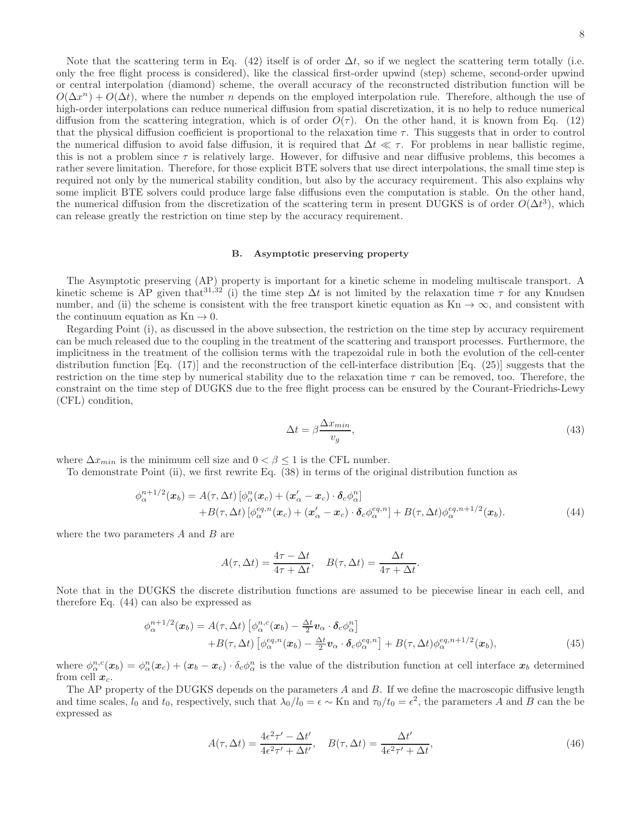Note that the scattering term in Eq. (42) itself is of order  $\Delta t$ , so if we neglect the scattering term totally (i.e. only the free flight process is considered), like the classical first-order upwind (step) scheme, second-order upwind or central interpolation (diamond) scheme, the overall accuracy of the reconstructed distribution function will be  $O(\Delta x^{n}) + O(\Delta t)$ , where the number *n* depends on the employed interpolation rule. Therefore, although the use of high-order interpolations can reduce numerical diffusion from spatial discretization, it is no help to reduce numerical diffusion from the scattering integration, which is of order  $O(\tau)$ . On the other hand, it is known from Eq. (12) that the physical diffusion coefficient is proportional to the relaxation time  $\tau$ . This suggests that in order to control the numerical diffusion to avoid false diffusion, it is required that  $\Delta t \ll \tau$ . For problems in near ballistic regime, this is not a problem since  $\tau$  is relatively large. However, for diffusive and near diffusive problems, this becomes a rather severe limitation. Therefore, for those explicit BTE solvers that use direct interpolations, the small time step is required not only by the numerical stability condition, but also by the accuracy requirement. This also explains why some implicit BTE solvers could produce large false diffusions even the computation is stable. On the other hand, the numerical diffusion from the discretization of the scattering term in present DUGKS is of order  $O(\Delta t^3)$ , which can release greatly the restriction on time step by the accuracy requirement.

#### B. Asymptotic preserving property

The Asymptotic preserving (AP) property is important for a kinetic scheme in modeling multiscale transport. A kinetic scheme is AP given that<sup>31,32</sup> (i) the time step  $\Delta t$  is not limited by the relaxation time  $\tau$  for any Knudsen number, and (ii) the scheme is consistent with the free transport kinetic equation as Kn  $\rightarrow \infty$ , and consistent with the continuum equation as  $Kn \to 0$ .

Regarding Point (i), as discussed in the above subsection, the restriction on the time step by accuracy requirement can be much released due to the coupling in the treatment of the scattering and transport processes. Furthermore, the implicitness in the treatment of the collision terms with the trapezoidal rule in both the evolution of the cell-center distribution function [Eq. (17)] and the reconstruction of the cell-interface distribution [Eq. (25)] suggests that the restriction on the time step by numerical stability due to the relaxation time  $\tau$  can be removed, too. Therefore, the constraint on the time step of DUGKS due to the free flight process can be ensured by the Courant-Friedrichs-Lewy (CFL) condition,

$$
\Delta t = \beta \frac{\Delta x_{min}}{v_g},\tag{43}
$$

where  $\Delta x_{min}$  is the minimum cell size and  $0 < \beta \leq 1$  is the CFL number.

To demonstrate Point (ii), we first rewrite Eq. (38) in terms of the original distribution function as

$$
\phi_{\alpha}^{n+1/2}(\boldsymbol{x}_{b}) = A(\tau, \Delta t) \left[ \phi_{\alpha}^{n}(\boldsymbol{x}_{c}) + (\boldsymbol{x}_{\alpha}^{\prime} - \boldsymbol{x}_{c}) \cdot \boldsymbol{\delta}_{c} \phi_{\alpha}^{n} \right] + B(\tau, \Delta t) \left[ \phi_{\alpha}^{eq, n}(\boldsymbol{x}_{c}) + (\boldsymbol{x}_{\alpha}^{\prime} - \boldsymbol{x}_{c}) \cdot \boldsymbol{\delta}_{c} \phi_{\alpha}^{eq, n} \right] + B(\tau, \Delta t) \phi_{\alpha}^{eq, n+1/2}(\boldsymbol{x}_{b}).
$$
\n(44)

where the two parameters  $A$  and  $B$  are

$$
A(\tau, \Delta t) = \frac{4\tau - \Delta t}{4\tau + \Delta t}, \quad B(\tau, \Delta t) = \frac{\Delta t}{4\tau + \Delta t}.
$$

Note that in the DUGKS the discrete distribution functions are assumed to be piecewise linear in each cell, and therefore Eq. (44) can also be expressed as

$$
\phi_{\alpha}^{n+1/2}(\boldsymbol{x}_{b}) = A(\tau, \Delta t) \left[ \phi_{\alpha}^{n,c}(\boldsymbol{x}_{b}) - \frac{\Delta t}{2} \boldsymbol{v}_{\alpha} \cdot \boldsymbol{\delta}_{c} \phi_{\alpha}^{n} \right] + B(\tau, \Delta t) \left[ \phi_{\alpha}^{eq, n}(\boldsymbol{x}_{b}) - \frac{\Delta t}{2} \boldsymbol{v}_{\alpha} \cdot \boldsymbol{\delta}_{c} \phi_{\alpha}^{eq, n} \right] + B(\tau, \Delta t) \phi_{\alpha}^{eq, n+1/2}(\boldsymbol{x}_{b}),
$$
(45)

where  $\phi_{\alpha}^{n,c}(\bm{x}_b) = \phi_{\alpha}^{n}(\bm{x}_c) + (\bm{x}_b - \bm{x}_c) \cdot \delta_c \phi_{\alpha}^{n}$  is the value of the distribution function at cell interface  $\bm{x}_b$  determined from cell  $x_c$ .

The AP property of the DUGKS depends on the parameters A and B. If we define the macroscopic diffusive length and time scales,  $l_0$  and  $t_0$ , respectively, such that  $\lambda_0/l_0 = \epsilon \sim$  Kn and  $\tau_0/t_0 = \epsilon^2$ , the parameters A and B can the be expressed as

$$
A(\tau, \Delta t) = \frac{4\epsilon^2 \tau' - \Delta t'}{4\epsilon^2 \tau' + \Delta t'}, \quad B(\tau, \Delta t) = \frac{\Delta t'}{4\epsilon^2 \tau' + \Delta t},
$$
\n(46)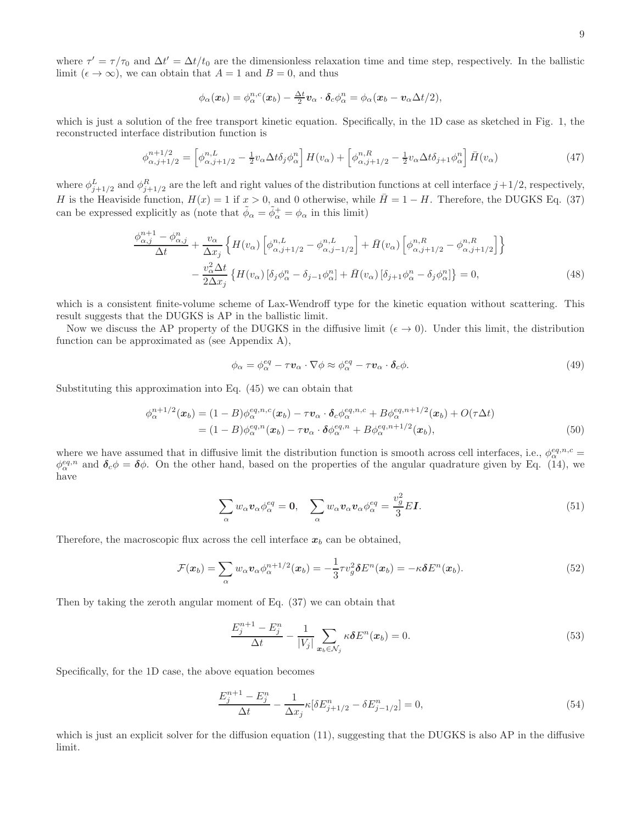where  $\tau' = \tau/\tau_0$  and  $\Delta t' = \Delta t/t_0$  are the dimensionless relaxation time and time step, respectively. In the ballistic limit ( $\epsilon \to \infty$ ), we can obtain that  $A = 1$  and  $B = 0$ , and thus

$$
\phi_{\alpha}(\boldsymbol{x}_b) = \phi_{\alpha}^{n,c}(\boldsymbol{x}_b) - \frac{\Delta t}{2} \boldsymbol{v}_{\alpha} \cdot \boldsymbol{\delta}_c \phi_{\alpha}^n = \phi_{\alpha}(\boldsymbol{x}_b - \boldsymbol{v}_{\alpha} \Delta t/2),
$$

which is just a solution of the free transport kinetic equation. Specifically, in the 1D case as sketched in Fig. 1, the reconstructed interface distribution function is

$$
\phi_{\alpha,j+1/2}^{n+1/2} = \left[\phi_{\alpha,j+1/2}^{n,L} - \frac{1}{2}v_{\alpha}\Delta t \delta_j \phi_{\alpha}^n\right]H(v_{\alpha}) + \left[\phi_{\alpha,j+1/2}^{n,R} - \frac{1}{2}v_{\alpha}\Delta t \delta_{j+1} \phi_{\alpha}^n\right]\bar{H}(v_{\alpha})\tag{47}
$$

where  $\phi_{j+1/2}^L$  and  $\phi_{j+1/2}^R$  are the left and right values of the distribution functions at cell interface  $j+1/2$ , respectively, H is the Heaviside function,  $H(x) = 1$  if  $x > 0$ , and 0 otherwise, while  $\bar{H} = 1 - H$ . Therefore, the DUGKS Eq. (37) can be expressed explicitly as (note that  $\tilde{\phi}_{\alpha} = \tilde{\phi}_{\alpha}^{+} = \phi_{\alpha}$  in this limit)

$$
\frac{\phi_{\alpha,j}^{n+1} - \phi_{\alpha,j}^n}{\Delta t} + \frac{v_{\alpha}}{\Delta x_j} \left\{ H(v_{\alpha}) \left[ \phi_{\alpha,j+1/2}^{n,L} - \phi_{\alpha,j-1/2}^{n,L} \right] + \bar{H}(v_{\alpha}) \left[ \phi_{\alpha,j+1/2}^{n,R} - \phi_{\alpha,j+1/2}^{n,R} \right] \right\} \n- \frac{v_{\alpha}^2 \Delta t}{2 \Delta x_j} \left\{ H(v_{\alpha}) \left[ \delta_j \phi_{\alpha}^n - \delta_{j-1} \phi_{\alpha}^n \right] + \bar{H}(v_{\alpha}) \left[ \delta_{j+1} \phi_{\alpha}^n - \delta_j \phi_{\alpha}^n \right] \right\} = 0,
$$
\n(48)

which is a consistent finite-volume scheme of Lax-Wendroff type for the kinetic equation without scattering. This result suggests that the DUGKS is AP in the ballistic limit.

Now we discuss the AP property of the DUGKS in the diffusive limit ( $\epsilon \to 0$ ). Under this limit, the distribution function can be approximated as (see Appendix A),

$$
\phi_{\alpha} = \phi_{\alpha}^{eq} - \tau \mathbf{v}_{\alpha} \cdot \nabla \phi \approx \phi_{\alpha}^{eq} - \tau \mathbf{v}_{\alpha} \cdot \delta_{c} \phi.
$$
\n(49)

Substituting this approximation into Eq. (45) we can obtain that

$$
\phi_{\alpha}^{n+1/2}(\boldsymbol{x}_{b}) = (1 - B)\phi_{\alpha}^{eq,n,c}(\boldsymbol{x}_{b}) - \tau \boldsymbol{v}_{\alpha} \cdot \boldsymbol{\delta}_{c} \phi_{\alpha}^{eq,n,c} + B\phi_{\alpha}^{eq,n+1/2}(\boldsymbol{x}_{b}) + O(\tau \Delta t) \n= (1 - B)\phi_{\alpha}^{eq,n}(\boldsymbol{x}_{b}) - \tau \boldsymbol{v}_{\alpha} \cdot \boldsymbol{\delta} \phi_{\alpha}^{eq,n} + B\phi_{\alpha}^{eq,n+1/2}(\boldsymbol{x}_{b}),
$$
\n(50)

where we have assumed that in diffusive limit the distribution function is smooth across cell interfaces, i.e.,  $\phi_\alpha^{eq,n,c}$  $\phi_{\alpha}^{eq,n}$  and  $\delta_c \phi = \delta \phi$ . On the other hand, based on the properties of the angular quadrature given by Eq. (14), we have

$$
\sum_{\alpha} w_{\alpha} v_{\alpha} \phi_{\alpha}^{eq} = \mathbf{0}, \quad \sum_{\alpha} w_{\alpha} v_{\alpha} v_{\alpha} \phi_{\alpha}^{eq} = \frac{v_g^2}{3} E \mathbf{I}.
$$
\n(51)

Therefore, the macroscopic flux across the cell interface  $x_b$  can be obtained,

$$
\mathcal{F}(\boldsymbol{x}_b) = \sum_{\alpha} w_{\alpha} \boldsymbol{v}_{\alpha} \phi_{\alpha}^{n+1/2}(\boldsymbol{x}_b) = -\frac{1}{3} \tau v_g^2 \boldsymbol{\delta} E^n(\boldsymbol{x}_b) = -\kappa \boldsymbol{\delta} E^n(\boldsymbol{x}_b).
$$
\n(52)

Then by taking the zeroth angular moment of Eq. (37) we can obtain that

$$
\frac{E_j^{n+1} - E_j^n}{\Delta t} - \frac{1}{|V_j|} \sum_{\mathbf{x}_b \in \mathcal{N}_j} \kappa \delta E^n(\mathbf{x}_b) = 0.
$$
\n(53)

Specifically, for the 1D case, the above equation becomes

$$
\frac{E_j^{n+1} - E_j^n}{\Delta t} - \frac{1}{\Delta x_j} \kappa [\delta E_{j+1/2}^n - \delta E_{j-1/2}^n] = 0,
$$
\n(54)

which is just an explicit solver for the diffusion equation (11), suggesting that the DUGKS is also AP in the diffusive limit.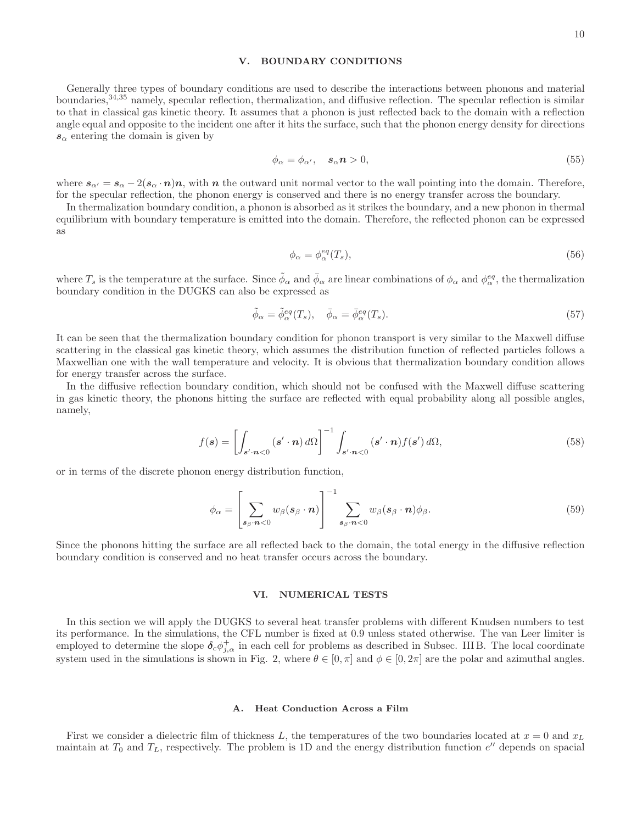# V. BOUNDARY CONDITIONS

Generally three types of boundary conditions are used to describe the interactions between phonons and material boundaries,  $34,35$  namely, specular reflection, thermalization, and diffusive reflection. The specular reflection is similar to that in classical gas kinetic theory. It assumes that a phonon is just reflected back to the domain with a reflection angle equal and opposite to the incident one after it hits the surface, such that the phonon energy density for directions  $s_{\alpha}$  entering the domain is given by

$$
\phi_{\alpha} = \phi_{\alpha'}, \quad s_{\alpha} n > 0, \tag{55}
$$

where  $s_{\alpha'} = s_{\alpha} - 2(s_{\alpha} \cdot n)n$ , with n the outward unit normal vector to the wall pointing into the domain. Therefore, for the specular reflection, the phonon energy is conserved and there is no energy transfer across the boundary.

In thermalization boundary condition, a phonon is absorbed as it strikes the boundary, and a new phonon in thermal equilibrium with boundary temperature is emitted into the domain. Therefore, the reflected phonon can be expressed as

$$
\phi_{\alpha} = \phi_{\alpha}^{eq}(T_s),\tag{56}
$$

where  $T_s$  is the temperature at the surface. Since  $\tilde{\phi}_{\alpha}$  and  $\bar{\phi}_{\alpha}$  are linear combinations of  $\phi_{\alpha}$  and  $\phi_{\alpha}^{eq}$ , the thermalization boundary condition in the DUGKS can also be expressed as

$$
\tilde{\phi}_{\alpha} = \tilde{\phi}_{\alpha}^{eq}(T_s), \quad \bar{\phi}_{\alpha} = \bar{\phi}_{\alpha}^{eq}(T_s). \tag{57}
$$

It can be seen that the thermalization boundary condition for phonon transport is very similar to the Maxwell diffuse scattering in the classical gas kinetic theory, which assumes the distribution function of reflected particles follows a Maxwellian one with the wall temperature and velocity. It is obvious that thermalization boundary condition allows for energy transfer across the surface.

In the diffusive reflection boundary condition, which should not be confused with the Maxwell diffuse scattering in gas kinetic theory, the phonons hitting the surface are reflected with equal probability along all possible angles, namely,

$$
f(\mathbf{s}) = \left[ \int_{\mathbf{s}' \cdot \mathbf{n} < 0} (\mathbf{s}' \cdot \mathbf{n}) \, d\Omega \right]^{-1} \int_{\mathbf{s}' \cdot \mathbf{n} < 0} (\mathbf{s}' \cdot \mathbf{n}) f(\mathbf{s}') \, d\Omega,\tag{58}
$$

or in terms of the discrete phonon energy distribution function,

$$
\phi_{\alpha} = \left[ \sum_{\mathbf{s}_{\beta} \cdot \mathbf{n} < 0} w_{\beta}(\mathbf{s}_{\beta} \cdot \mathbf{n}) \right]^{-1} \sum_{\mathbf{s}_{\beta} \cdot \mathbf{n} < 0} w_{\beta}(\mathbf{s}_{\beta} \cdot \mathbf{n}) \phi_{\beta}.
$$
\n
$$
(59)
$$

Since the phonons hitting the surface are all reflected back to the domain, the total energy in the diffusive reflection boundary condition is conserved and no heat transfer occurs across the boundary.

# VI. NUMERICAL TESTS

In this section we will apply the DUGKS to several heat transfer problems with different Knudsen numbers to test its performance. In the simulations, the CFL number is fixed at 0.9 unless stated otherwise. The van Leer limiter is employed to determine the slope  $\delta_c \phi_{j,\alpha}^+$  in each cell for problems as described in Subsec. III B. The local coordinate system used in the simulations is shown in Fig. 2, where  $\theta \in [0, \pi]$  and  $\phi \in [0, 2\pi]$  are the polar and azimuthal angles.

# A. Heat Conduction Across a Film

First we consider a dielectric film of thickness L, the temperatures of the two boundaries located at  $x = 0$  and  $x<sub>L</sub>$ maintain at  $T_0$  and  $T_L$ , respectively. The problem is 1D and the energy distribution function  $e''$  depends on spacial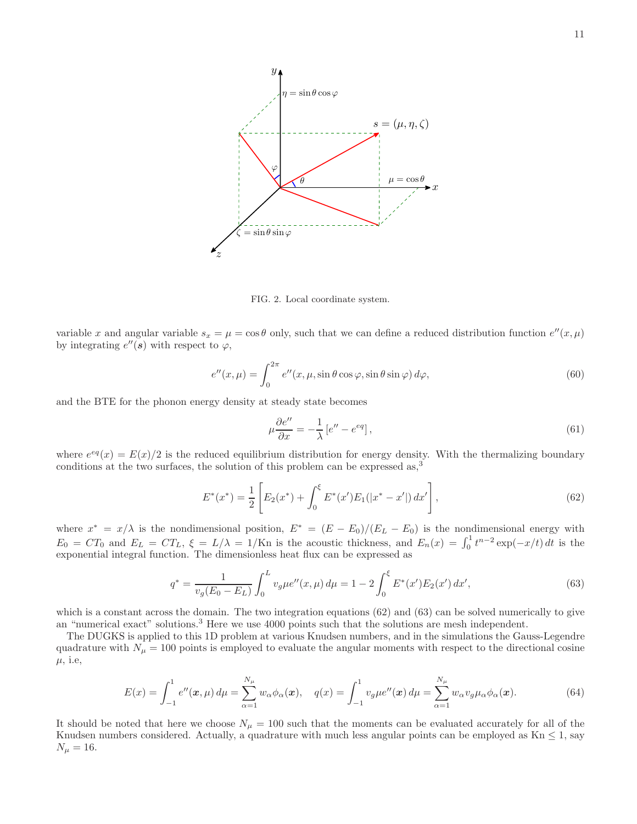

FIG. 2. Local coordinate system.

variable x and angular variable  $s_x = \mu = \cos \theta$  only, such that we can define a reduced distribution function  $e''(x, \mu)$ by integrating  $e''(s)$  with respect to  $\varphi$ ,

$$
e''(x,\mu) = \int_0^{2\pi} e''(x,\mu,\sin\theta\cos\varphi,\sin\theta\sin\varphi)\,d\varphi,\tag{60}
$$

and the BTE for the phonon energy density at steady state becomes

$$
\mu \frac{\partial e^{\prime \prime}}{\partial x} = -\frac{1}{\lambda} \left[ e^{\prime \prime} - e^{eq} \right],\tag{61}
$$

where  $e^{eq}(x) = E(x)/2$  is the reduced equilibrium distribution for energy density. With the thermalizing boundary conditions at the two surfaces, the solution of this problem can be expressed as,<sup>3</sup>

$$
E^*(x^*) = \frac{1}{2} \left[ E_2(x^*) + \int_0^{\xi} E^*(x') E_1(|x^* - x'|) dx' \right],\tag{62}
$$

where  $x^* = x/\lambda$  is the nondimensional position,  $E^* = (E - E_0)/(E_L - E_0)$  is the nondimensional energy with  $E_0 = CT_0$  and  $E_L = CT_L$ ,  $\xi = L/\lambda = 1/\text{Kn}$  is the acoustic thickness, and  $E_n(x) = \int_0^1 t^{n-2} \exp(-x/t) dt$  is the exponential integral function. The dimensionless heat flux can be expressed as

$$
q^* = \frac{1}{v_g(E_0 - E_L)} \int_0^L v_g \mu e''(x, \mu) d\mu = 1 - 2 \int_0^{\xi} E^*(x') E_2(x') dx', \tag{63}
$$

which is a constant across the domain. The two integration equations (62) and (63) can be solved numerically to give an "numerical exact" solutions.<sup>3</sup> Here we use 4000 points such that the solutions are mesh independent.

The DUGKS is applied to this 1D problem at various Knudsen numbers, and in the simulations the Gauss-Legendre quadrature with  $N_{\mu} = 100$  points is employed to evaluate the angular moments with respect to the directional cosine  $\mu$ , i.e.

$$
E(x) = \int_{-1}^{1} e''(x,\mu) d\mu = \sum_{\alpha=1}^{N_{\mu}} w_{\alpha} \phi_{\alpha}(x), \quad q(x) = \int_{-1}^{1} v_{g} \mu e''(x) d\mu = \sum_{\alpha=1}^{N_{\mu}} w_{\alpha} v_{g} \mu_{\alpha} \phi_{\alpha}(x).
$$
 (64)

It should be noted that here we choose  $N_{\mu} = 100$  such that the moments can be evaluated accurately for all of the Knudsen numbers considered. Actually, a quadrature with much less angular points can be employed as  $Kn \leq 1$ , say  $N_{\mu} = 16.$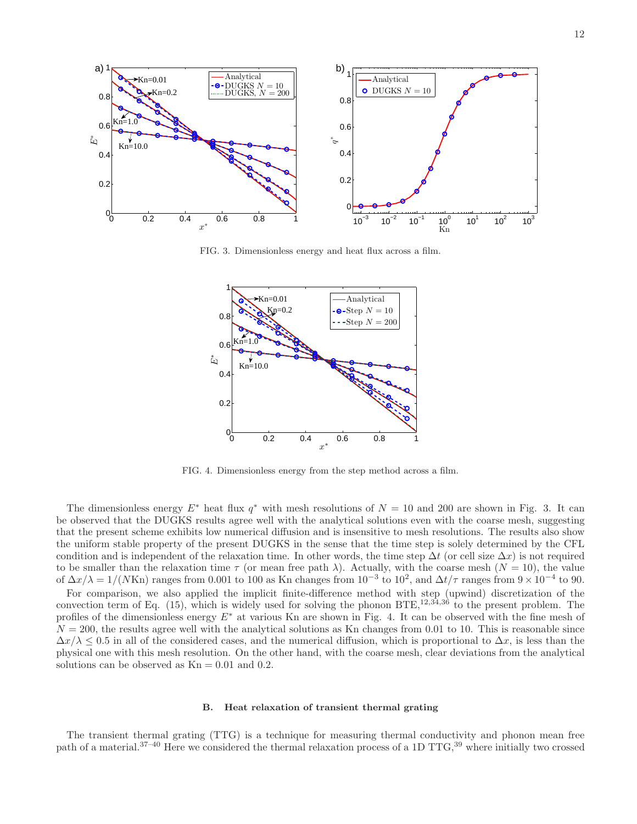

FIG. 3. Dimensionless energy and heat flux across a film.



FIG. 4. Dimensionless energy from the step method across a film.

The dimensionless energy  $E^*$  heat flux  $q^*$  with mesh resolutions of  $N = 10$  and 200 are shown in Fig. 3. It can be observed that the DUGKS results agree well with the analytical solutions even with the coarse mesh, suggesting that the present scheme exhibits low numerical diffusion and is insensitive to mesh resolutions. The results also show the uniform stable property of the present DUGKS in the sense that the time step is solely determined by the CFL condition and is independent of the relaxation time. In other words, the time step  $\Delta t$  (or cell size  $\Delta x$ ) is not required to be smaller than the relaxation time  $\tau$  (or mean free path  $\lambda$ ). Actually, with the coarse mesh  $(N = 10)$ , the value of  $\Delta x/\lambda = 1/(N \text{Kn})$  ranges from 0.001 to 100 as Kn changes from  $10^{-3}$  to  $10^{2}$ , and  $\Delta t/\tau$  ranges from  $9 \times 10^{-4}$  to 90.

For comparison, we also applied the implicit finite-difference method with step (upwind) discretization of the convection term of Eq. (15), which is widely used for solving the phonon  $BTE$ ,  $12,34,36$  to the present problem. The profiles of the dimensionless energy  $E^*$  at various Kn are shown in Fig. 4. It can be observed with the fine mesh of  $N = 200$ , the results agree well with the analytical solutions as Kn changes from 0.01 to 10. This is reasonable since  $\Delta x/\lambda \leq 0.5$  in all of the considered cases, and the numerical diffusion, which is proportional to  $\Delta x$ , is less than the physical one with this mesh resolution. On the other hand, with the coarse mesh, clear deviations from the analytical solutions can be observed as  $Kn = 0.01$  and 0.2.

#### B. Heat relaxation of transient thermal grating

The transient thermal grating (TTG) is a technique for measuring thermal conductivity and phonon mean free path of a material.<sup>37–40</sup> Here we considered the thermal relaxation process of a 1D TTG,<sup>39</sup> where initially two crossed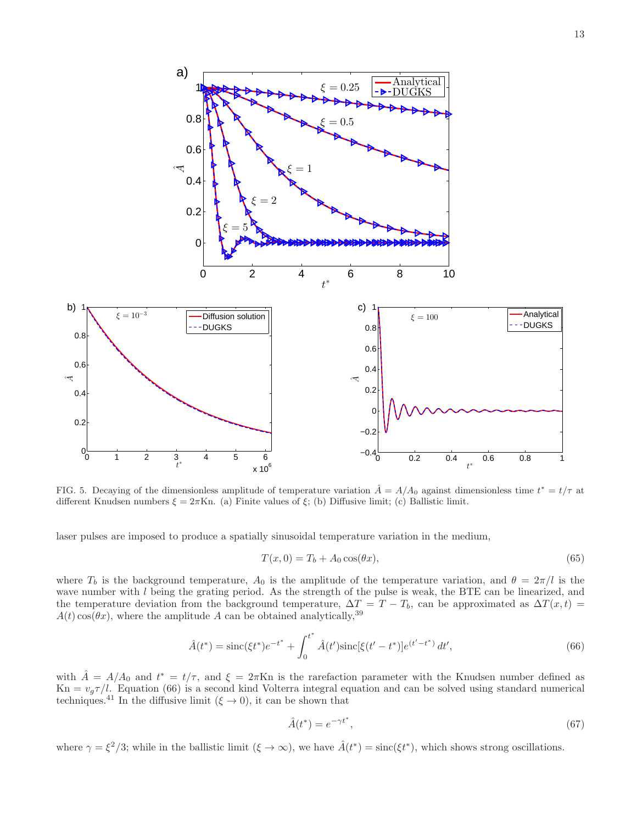

FIG. 5. Decaying of the dimensionless amplitude of temperature variation  $\hat{A} = A/A_0$  against dimensionless time  $t^* = t/\tau$  at different Knudsen numbers  $\xi = 2\pi$ Kn. (a) Finite values of  $\xi$ ; (b) Diffusive limit; (c) Ballistic limit.

laser pulses are imposed to produce a spatially sinusoidal temperature variation in the medium,

$$
T(x,0) = T_b + A_0 \cos(\theta x),\tag{65}
$$

where  $T_b$  is the background temperature,  $A_0$  is the amplitude of the temperature variation, and  $\theta = 2\pi/l$  is the wave number with l being the grating period. As the strength of the pulse is weak, the BTE can be linearized, and the temperature deviation from the background temperature,  $\Delta T = T - T_b$ , can be approximated as  $\Delta T(x, t) =$  $A(t)\cos(\theta x)$ , where the amplitude A can be obtained analytically,<sup>39</sup>

$$
\hat{A}(t^*) = \operatorname{sinc}(\xi t^*) e^{-t^*} + \int_0^{t^*} \hat{A}(t') \operatorname{sinc}[\xi(t'-t^*)] e^{(t'-t^*)} dt',\tag{66}
$$

with  $\hat{A} = A/A_0$  and  $t^* = t/\tau$ , and  $\xi = 2\pi$ Kn is the rarefaction parameter with the Knudsen number defined as  $Kn = v_g \tau / l$ . Equation (66) is a second kind Volterra integral equation and can be solved using standard numerical techniques.<sup>41</sup> In the diffusive limit ( $\xi \to 0$ ), it can be shown that

$$
\hat{A}(t^*) = e^{-\gamma t^*},\tag{67}
$$

where  $\gamma = \xi^2/3$ ; while in the ballistic limit  $(\xi \to \infty)$ , we have  $\hat{A}(t^*) = \text{sinc}(\xi t^*)$ , which shows strong oscillations.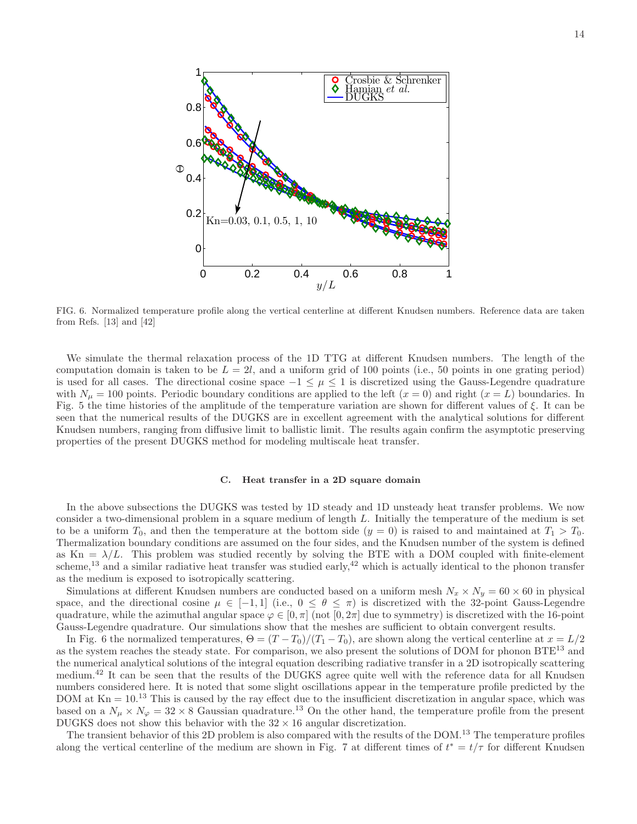

FIG. 6. Normalized temperature profile along the vertical centerline at different Knudsen numbers. Reference data are taken from Refs. [13] and [42]

We simulate the thermal relaxation process of the 1D TTG at different Knudsen numbers. The length of the computation domain is taken to be  $L = 2l$ , and a uniform grid of 100 points (i.e., 50 points in one grating period) is used for all cases. The directional cosine space  $-1 \leq \mu \leq 1$  is discretized using the Gauss-Legendre quadrature with  $N_{\mu} = 100$  points. Periodic boundary conditions are applied to the left  $(x = 0)$  and right  $(x = L)$  boundaries. In Fig. 5 the time histories of the amplitude of the temperature variation are shown for different values of  $\xi$ . It can be seen that the numerical results of the DUGKS are in excellent agreement with the analytical solutions for different Knudsen numbers, ranging from diffusive limit to ballistic limit. The results again confirm the asymptotic preserving properties of the present DUGKS method for modeling multiscale heat transfer.

#### C. Heat transfer in a 2D square domain

In the above subsections the DUGKS was tested by 1D steady and 1D unsteady heat transfer problems. We now consider a two-dimensional problem in a square medium of length L. Initially the temperature of the medium is set to be a uniform  $T_0$ , and then the temperature at the bottom side  $(y = 0)$  is raised to and maintained at  $T_1 > T_0$ . Thermalization boundary conditions are assumed on the four sides, and the Knudsen number of the system is defined as Kn =  $\lambda/L$ . This problem was studied recently by solving the BTE with a DOM coupled with finite-element scheme,<sup>13</sup> and a similar radiative heat transfer was studied early,<sup>42</sup> which is actually identical to the phonon transfer as the medium is exposed to isotropically scattering.

Simulations at different Knudsen numbers are conducted based on a uniform mesh  $N_x \times N_y = 60 \times 60$  in physical space, and the directional cosine  $\mu \in [-1, 1]$  (i.e.,  $0 \le \theta \le \pi$ ) is discretized with the 32-point Gauss-Legendre quadrature, while the azimuthal angular space  $\varphi \in [0, \pi]$  (not  $[0, 2\pi]$  due to symmetry) is discretized with the 16-point Gauss-Legendre quadrature. Our simulations show that the meshes are sufficient to obtain convergent results.

In Fig. 6 the normalized temperatures,  $\Theta = (T - T_0)/(T_1 - T_0)$ , are shown along the vertical centerline at  $x = L/2$ as the system reaches the steady state. For comparison, we also present the solutions of DOM for phonon BTE<sup>13</sup> and the numerical analytical solutions of the integral equation describing radiative transfer in a 2D isotropically scattering medium.<sup>42</sup> It can be seen that the results of the DUGKS agree quite well with the reference data for all Knudsen numbers considered here. It is noted that some slight oscillations appear in the temperature profile predicted by the DOM at  $Kn = 10<sup>13</sup>$  This is caused by the ray effect due to the insufficient discretization in angular space, which was based on a  $N_{\mu} \times N_{\varphi} = 32 \times 8$  Gaussian quadrature.<sup>13</sup> On the other hand, the temperature profile from the present DUGKS does not show this behavior with the  $32\times16$  angular discretization.

The transient behavior of this 2D problem is also compared with the results of the DOM.<sup>13</sup> The temperature profiles along the vertical centerline of the medium are shown in Fig. 7 at different times of  $t^* = t/\tau$  for different Knudsen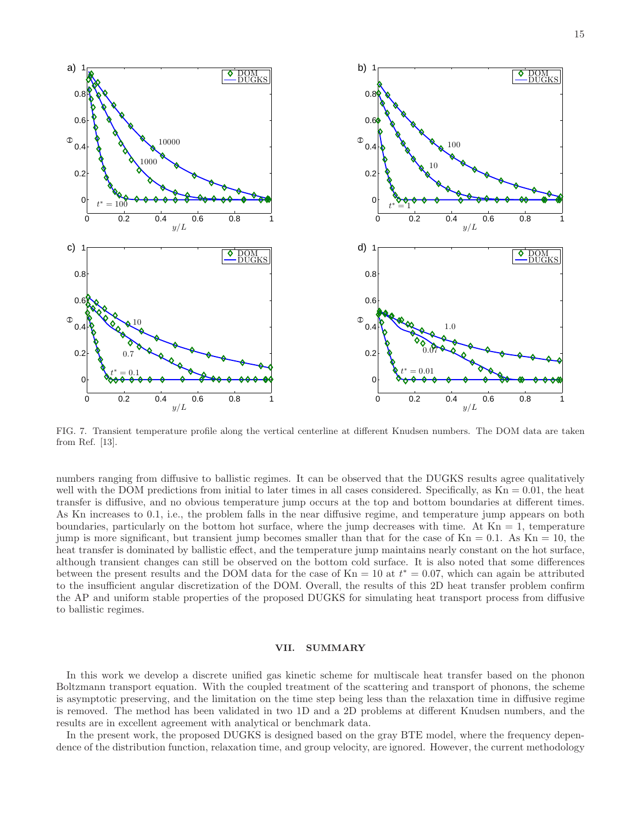

FIG. 7. Transient temperature profile along the vertical centerline at different Knudsen numbers. The DOM data are taken from Ref. [13].

numbers ranging from diffusive to ballistic regimes. It can be observed that the DUGKS results agree qualitatively well with the DOM predictions from initial to later times in all cases considered. Specifically, as  $Kn = 0.01$ , the heat transfer is diffusive, and no obvious temperature jump occurs at the top and bottom boundaries at different times. As Kn increases to 0.1, i.e., the problem falls in the near diffusive regime, and temperature jump appears on both boundaries, particularly on the bottom hot surface, where the jump decreases with time. At  $Kn = 1$ , temperature jump is more significant, but transient jump becomes smaller than that for the case of  $Kn = 0.1$ . As  $Kn = 10$ , the heat transfer is dominated by ballistic effect, and the temperature jump maintains nearly constant on the hot surface, although transient changes can still be observed on the bottom cold surface. It is also noted that some differences between the present results and the DOM data for the case of  $Kn = 10$  at  $t^* = 0.07$ , which can again be attributed to the insufficient angular discretization of the DOM. Overall, the results of this 2D heat transfer problem confirm the AP and uniform stable properties of the proposed DUGKS for simulating heat transport process from diffusive to ballistic regimes.

### VII. SUMMARY

In this work we develop a discrete unified gas kinetic scheme for multiscale heat transfer based on the phonon Boltzmann transport equation. With the coupled treatment of the scattering and transport of phonons, the scheme is asymptotic preserving, and the limitation on the time step being less than the relaxation time in diffusive regime is removed. The method has been validated in two 1D and a 2D problems at different Knudsen numbers, and the results are in excellent agreement with analytical or benchmark data.

In the present work, the proposed DUGKS is designed based on the gray BTE model, where the frequency dependence of the distribution function, relaxation time, and group velocity, are ignored. However, the current methodology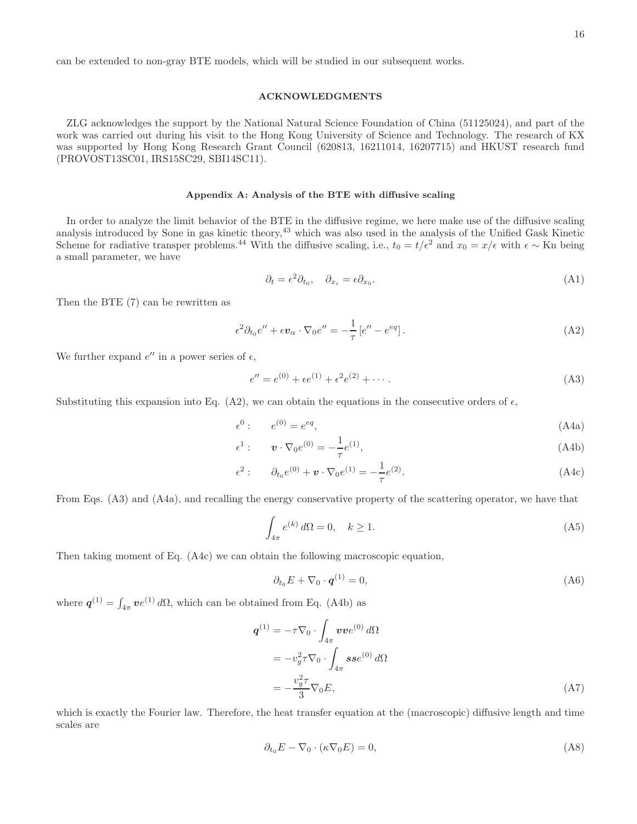can be extended to non-gray BTE models, which will be studied in our subsequent works.

# ACKNOWLEDGMENTS

ZLG acknowledges the support by the National Natural Science Foundation of China (51125024), and part of the work was carried out during his visit to the Hong Kong University of Science and Technology. The research of KX was supported by Hong Kong Research Grant Council (620813, 16211014, 16207715) and HKUST research fund (PROVOST13SC01, IRS15SC29, SBI14SC11).

#### Appendix A: Analysis of the BTE with diffusive scaling

In order to analyze the limit behavior of the BTE in the diffusive regime, we here make use of the diffusive scaling analysis introduced by Sone in gas kinetic theory,<sup>43</sup> which was also used in the analysis of the Unified Gask Kinetic Scheme for radiative transper problems.<sup>44</sup> With the diffusive scaling, i.e.,  $t_0 = t/\epsilon^2$  and  $x_0 = x/\epsilon$  with  $\epsilon \sim$  Kn being a small parameter, we have

$$
\partial_t = \epsilon^2 \partial_{t_0}, \quad \partial_{x_i} = \epsilon \partial_{x_0}.
$$
\n(A1)

Then the BTE (7) can be rewritten as

$$
\epsilon^2 \partial_{t_0} e'' + \epsilon \mathbf{v}_\alpha \cdot \nabla_0 e'' = -\frac{1}{\tau} \left[ e'' - e^{eq} \right]. \tag{A2}
$$

We further expand  $e''$  in a power series of  $\epsilon$ ,

$$
e'' = e^{(0)} + \epsilon e^{(1)} + \epsilon^2 e^{(2)} + \cdots
$$
 (A3)

Substituting this expansion into Eq. (A2), we can obtain the equations in the consecutive orders of  $\epsilon$ ,

$$
\epsilon^0: \qquad e^{(0)} = e^{eq},\tag{A4a}
$$

$$
\epsilon^1: \qquad \mathbf{v} \cdot \nabla_0 e^{(0)} = -\frac{1}{\tau} e^{(1)},\tag{A4b}
$$

$$
\epsilon^2: \qquad \partial_{t_0} e^{(0)} + \mathbf{v} \cdot \nabla_0 e^{(1)} = -\frac{1}{\tau} e^{(2)}.
$$
 (A4c)

From Eqs. (A3) and (A4a), and recalling the energy conservative property of the scattering operator, we have that

$$
\int_{4\pi} e^{(k)} d\Omega = 0, \quad k \ge 1.
$$
\n(A5)

Then taking moment of Eq. (A4c) we can obtain the following macroscopic equation,

$$
\partial_{t_0} E + \nabla_0 \cdot \mathbf{q}^{(1)} = 0,\tag{A6}
$$

where  $q^{(1)} = \int_{4\pi} v e^{(1)} d\Omega$ , which can be obtained from Eq. (A4b) as

$$
\mathbf{q}^{(1)} = -\tau \nabla_0 \cdot \int_{4\pi} \boldsymbol{v} \boldsymbol{v} e^{(0)} d\Omega
$$
  
=  $-v_g^2 \tau \nabla_0 \cdot \int_{4\pi} \boldsymbol{s} s e^{(0)} d\Omega$   
=  $-\frac{v_g^2 \tau}{3} \nabla_0 E,$  (A7)

which is exactly the Fourier law. Therefore, the heat transfer equation at the (macroscopic) diffusive length and time scales are

$$
\partial_{t_0} E - \nabla_0 \cdot (\kappa \nabla_0 E) = 0,\tag{A8}
$$